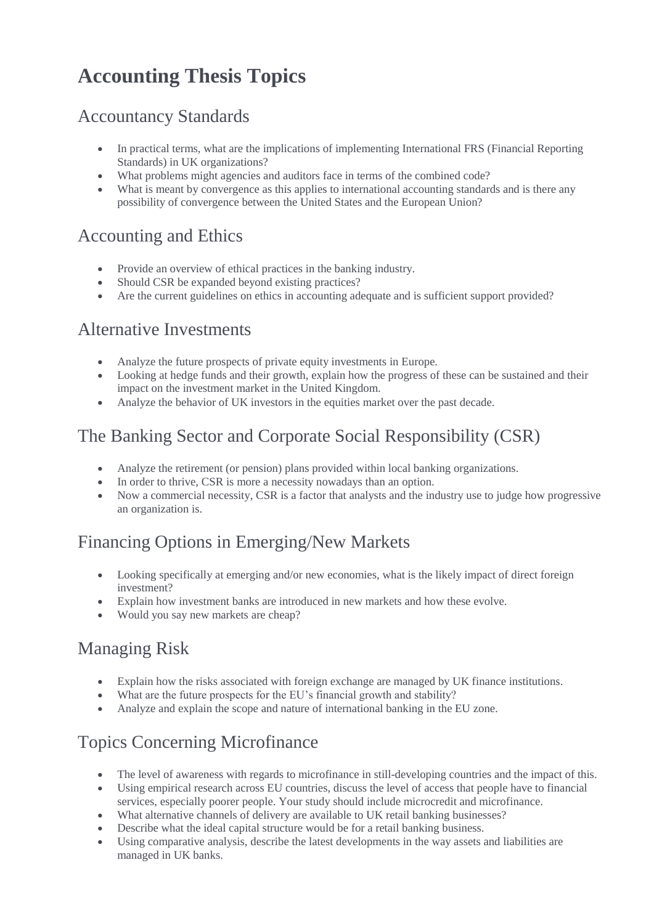# **Accounting Thesis Topics**

# Accountancy Standards

- In practical terms, what are the implications of implementing International FRS (Financial Reporting Standards) in UK organizations?
- What problems might agencies and auditors face in terms of the combined code?
- What is meant by convergence as this applies to international accounting standards and is there any possibility of convergence between the United States and the European Union?

#### Accounting and Ethics

- Provide an overview of ethical practices in the banking industry.
- Should CSR be expanded beyond existing practices?
- Are the current guidelines on ethics in accounting adequate and is sufficient support provided?

#### Alternative Investments

- Analyze the future prospects of private equity investments in Europe.
- Looking at hedge funds and their growth, explain how the progress of these can be sustained and their impact on the investment market in the United Kingdom.
- Analyze the behavior of UK investors in the equities market over the past decade.

# The Banking Sector and Corporate Social Responsibility (CSR)

- Analyze the retirement (or pension) plans provided within local banking organizations.
- In order to thrive, CSR is more a necessity nowadays than an option.
- Now a commercial necessity, CSR is a factor that analysts and the industry use to judge how progressive an organization is.

# Financing Options in Emerging/New Markets

- Looking specifically at emerging and/or new economies, what is the likely impact of direct foreign investment?
- Explain how investment banks are introduced in new markets and how these evolve.
- Would you say new markets are cheap?

# Managing Risk

- Explain how the risks associated with foreign exchange are managed by UK finance institutions.
- What are the future prospects for the EU's financial growth and stability?
- Analyze and explain the scope and nature of international banking in the EU zone.

#### Topics Concerning Microfinance

- The level of awareness with regards to microfinance in still-developing countries and the impact of this.
- Using empirical research across EU countries, discuss the level of access that people have to financial services, especially poorer people. Your study should include microcredit and microfinance.
- What alternative channels of delivery are available to UK retail banking businesses?
- Describe what the ideal capital structure would be for a retail banking business.
- Using comparative analysis, describe the latest developments in the way assets and liabilities are managed in UK banks.